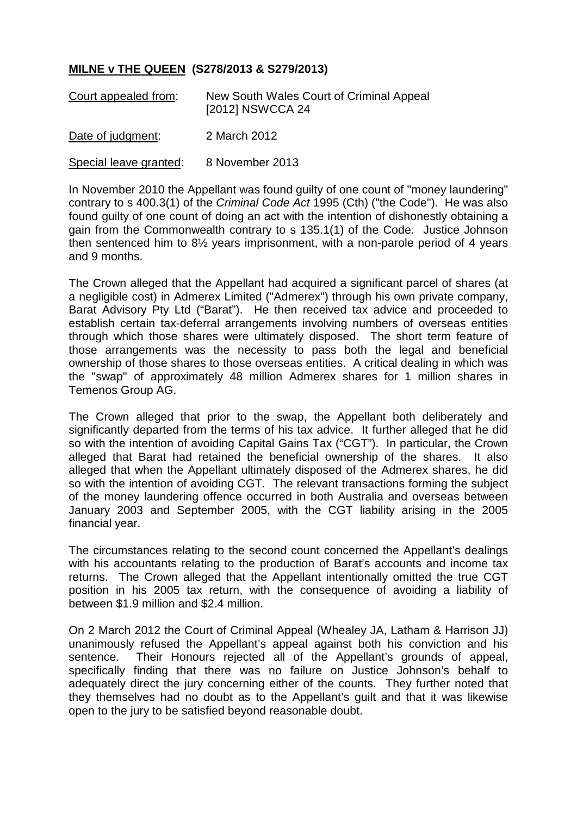## **MILNE v THE QUEEN (S278/2013 & S279/2013)**

| Court appealed from:   | New South Wales Court of Criminal Appeal<br>[2012] NSWCCA 24 |
|------------------------|--------------------------------------------------------------|
| Date of judgment:      | 2 March 2012                                                 |
| Special leave granted: | 8 November 2013                                              |

In November 2010 the Appellant was found guilty of one count of "money laundering" contrary to s 400.3(1) of the *Criminal Code Act* 1995 (Cth) ("the Code"). He was also found guilty of one count of doing an act with the intention of dishonestly obtaining a gain from the Commonwealth contrary to s 135.1(1) of the Code. Justice Johnson then sentenced him to 8½ years imprisonment, with a non-parole period of 4 years and 9 months.

The Crown alleged that the Appellant had acquired a significant parcel of shares (at a negligible cost) in Admerex Limited ("Admerex") through his own private company, Barat Advisory Pty Ltd ("Barat"). He then received tax advice and proceeded to establish certain tax-deferral arrangements involving numbers of overseas entities through which those shares were ultimately disposed. The short term feature of those arrangements was the necessity to pass both the legal and beneficial ownership of those shares to those overseas entities. A critical dealing in which was the "swap" of approximately 48 million Admerex shares for 1 million shares in Temenos Group AG.

The Crown alleged that prior to the swap, the Appellant both deliberately and significantly departed from the terms of his tax advice. It further alleged that he did so with the intention of avoiding Capital Gains Tax ("CGT"). In particular, the Crown alleged that Barat had retained the beneficial ownership of the shares. It also alleged that when the Appellant ultimately disposed of the Admerex shares, he did so with the intention of avoiding CGT. The relevant transactions forming the subject of the money laundering offence occurred in both Australia and overseas between January 2003 and September 2005, with the CGT liability arising in the 2005 financial year.

The circumstances relating to the second count concerned the Appellant's dealings with his accountants relating to the production of Barat's accounts and income tax returns. The Crown alleged that the Appellant intentionally omitted the true CGT position in his 2005 tax return, with the consequence of avoiding a liability of between \$1.9 million and \$2.4 million.

On 2 March 2012 the Court of Criminal Appeal (Whealey JA, Latham & Harrison JJ) unanimously refused the Appellant's appeal against both his conviction and his sentence. Their Honours rejected all of the Appellant's grounds of appeal, specifically finding that there was no failure on Justice Johnson's behalf to adequately direct the jury concerning either of the counts. They further noted that they themselves had no doubt as to the Appellant's guilt and that it was likewise open to the jury to be satisfied beyond reasonable doubt.